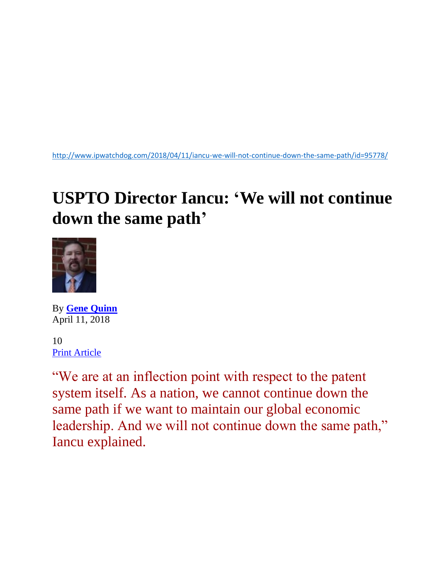<http://www.ipwatchdog.com/2018/04/11/iancu-we-will-not-continue-down-the-same-path/id=95778/>

## **USPTO Director Iancu: 'We will not continue down the same path'**



By **[Gene Quinn](http://www.ipwatchdog.com/author/gene-quinn-2/)** April 11, 2018

10 [Print Article](javascript:window.print();)

"We are at an inflection point with respect to the patent system itself. As a nation, we cannot continue down the same path if we want to maintain our global economic leadership. And we will not continue down the same path," Iancu explained.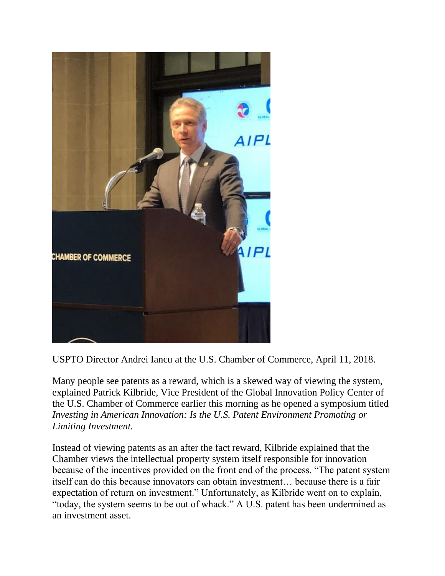

USPTO Director Andrei Iancu at the U.S. Chamber of Commerce, April 11, 2018.

Many people see patents as a reward, which is a skewed way of viewing the system, explained Patrick Kilbride, Vice President of the Global Innovation Policy Center of the U.S. Chamber of Commerce earlier this morning as he opened a symposium titled *Investing in American Innovation: Is the U.S. Patent Environment Promoting or Limiting Investment.*

Instead of viewing patents as an after the fact reward, Kilbride explained that the Chamber views the intellectual property system itself responsible for innovation because of the incentives provided on the front end of the process. "The patent system itself can do this because innovators can obtain investment… because there is a fair expectation of return on investment." Unfortunately, as Kilbride went on to explain, "today, the system seems to be out of whack." A U.S. patent has been undermined as an investment asset.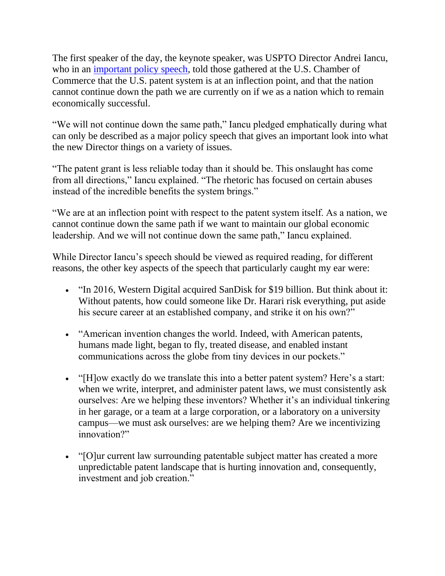The first speaker of the day, the keynote speaker, was USPTO Director Andrei Iancu, who in an [important policy speech,](https://www.uspto.gov/about-us/news-updates/remarks-director-andrei-iancu-us-chamber-commerce-patent-policy-conference) told those gathered at the U.S. Chamber of Commerce that the U.S. patent system is at an inflection point, and that the nation cannot continue down the path we are currently on if we as a nation which to remain economically successful.

"We will not continue down the same path," Iancu pledged emphatically during what can only be described as a major policy speech that gives an important look into what the new Director things on a variety of issues.

"The patent grant is less reliable today than it should be. This onslaught has come from all directions," Iancu explained. "The rhetoric has focused on certain abuses instead of the incredible benefits the system brings."

"We are at an inflection point with respect to the patent system itself. As a nation, we cannot continue down the same path if we want to maintain our global economic leadership. And we will not continue down the same path," Iancu explained.

While Director Iancu's speech should be viewed as required reading, for different reasons, the other key aspects of the speech that particularly caught my ear were:

- "In 2016, Western Digital acquired SanDisk for \$19 billion. But think about it: Without patents, how could someone like Dr. Harari risk everything, put aside his secure career at an established company, and strike it on his own?"
- "American invention changes the world. Indeed, with American patents, humans made light, began to fly, treated disease, and enabled instant communications across the globe from tiny devices in our pockets."
- "[H]ow exactly do we translate this into a better patent system? Here's a start: when we write, interpret, and administer patent laws, we must consistently ask ourselves: Are we helping these inventors? Whether it's an individual tinkering in her garage, or a team at a large corporation, or a laboratory on a university campus—we must ask ourselves: are we helping them? Are we incentivizing innovation?"
- "[O]ur current law surrounding patentable subject matter has created a more unpredictable patent landscape that is hurting innovation and, consequently, investment and job creation."